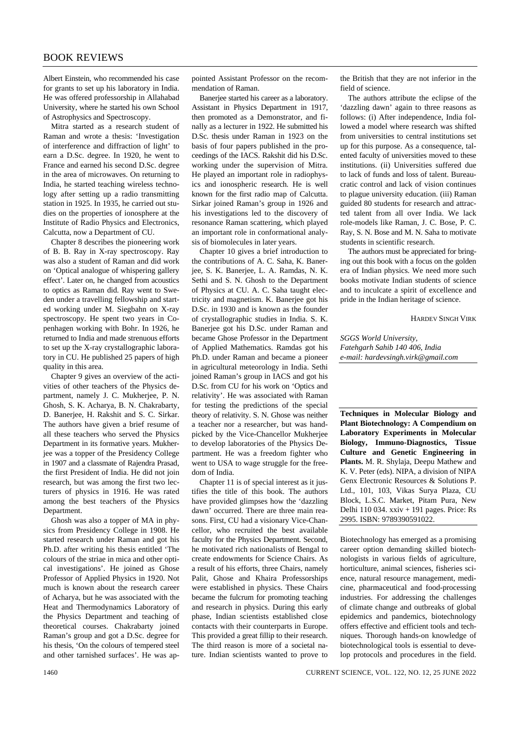Albert Einstein, who recommended his case for grants to set up his laboratory in India. He was offered professorship in Allahabad University, where he started his own School of Astrophysics and Spectroscopy.

Mitra started as a research student of Raman and wrote a thesis: 'Investigation of interference and diffraction of light' to earn a D.Sc. degree. In 1920, he went to France and earned his second D.Sc. degree in the area of microwaves. On returning to India, he started teaching wireless technology after setting up a radio transmitting station in 1925. In 1935, he carried out studies on the properties of ionosphere at the Institute of Radio Physics and Electronics, Calcutta, now a Department of CU.

Chapter 8 describes the pioneering work of B. B. Ray in X-ray spectroscopy. Ray was also a student of Raman and did work on 'Optical analogue of whispering gallery effect'. Later on, he changed from acoustics to optics as Raman did. Ray went to Sweden under a travelling fellowship and started working under M. Siegbahn on X-ray spectroscopy. He spent two years in Copenhagen working with Bohr. In 1926, he returned to India and made strenuous efforts to set up the X-ray crystallographic laboratory in CU. He published 25 papers of high quality in this area.

Chapter 9 gives an overview of the activities of other teachers of the Physics department, namely J. C. Mukherjee, P. N. Ghosh, S. K. Acharya, B. N. Chakrabarty, D. Banerjee, H. Rakshit and S. C. Sirkar. The authors have given a brief resume of all these teachers who served the Physics Department in its formative years. Mukherjee was a topper of the Presidency College in 1907 and a classmate of Rajendra Prasad, the first President of India. He did not join research, but was among the first two lecturers of physics in 1916. He was rated among the best teachers of the Physics Department.

Ghosh was also a topper of MA in physics from Presidency College in 1908. He started research under Raman and got his Ph.D. after writing his thesis entitled 'The colours of the striae in mica and other optical investigations'. He joined as Ghose Professor of Applied Physics in 1920. Not much is known about the research career of Acharya, but he was associated with the Heat and Thermodynamics Laboratory of the Physics Department and teaching of theoretical courses. Chakrabarty joined Raman's group and got a D.Sc. degree for his thesis, 'On the colours of tempered steel and other tarnished surfaces'. He was appointed Assistant Professor on the recommendation of Raman.

Banerjee started his career as a laboratory. Assistant in Physics Department in 1917, then promoted as a Demonstrator, and finally as a lecturer in 1922. He submitted his D.Sc. thesis under Raman in 1923 on the basis of four papers published in the proceedings of the IACS. Rakshit did his D.Sc. working under the supervision of Mitra. He played an important role in radiophysics and ionospheric research. He is well known for the first radio map of Calcutta. Sirkar joined Raman's group in 1926 and his investigations led to the discovery of resonance Raman scattering, which played an important role in conformational analysis of biomolecules in later years.

Chapter 10 gives a brief introduction to the contributions of A. C. Saha, K. Banerjee, S. K. Banerjee, L. A. Ramdas, N. K. Sethi and S. N. Ghosh to the Department of Physics at CU. A. C. Saha taught electricity and magnetism. K. Banerjee got his D.Sc. in 1930 and is known as the founder of crystallographic studies in India. S. K. Banerjee got his D.Sc. under Raman and became Ghose Professor in the Department of Applied Mathematics. Ramdas got his Ph.D. under Raman and became a pioneer in agricultural meteorology in India. Sethi joined Raman's group in IACS and got his D.Sc. from CU for his work on 'Optics and relativity'. He was associated with Raman for testing the predictions of the special theory of relativity. S. N. Ghose was neither a teacher nor a researcher, but was handpicked by the Vice-Chancellor Mukherjee to develop laboratories of the Physics Department. He was a freedom fighter who went to USA to wage struggle for the freedom of India.

Chapter 11 is of special interest as it justifies the title of this book. The authors have provided glimpses how the 'dazzling dawn' occurred. There are three main reasons. First, CU had a visionary Vice-Chancellor, who recruited the best available faculty for the Physics Department. Second, he motivated rich nationalists of Bengal to create endowments for Science Chairs. As a result of his efforts, three Chairs, namely Palit, Ghose and Khaira Professorships were established in physics. These Chairs became the fulcrum for promoting teaching and research in physics. During this early phase, Indian scientists established close contacts with their counterparts in Europe. This provided a great fillip to their research. The third reason is more of a societal nature. Indian scientists wanted to prove to the British that they are not inferior in the field of science.

The authors attribute the eclipse of the 'dazzling dawn' again to three reasons as follows: (i) After independence, India followed a model where research was shifted from universities to central institutions set up for this purpose. As a consequence, talented faculty of universities moved to these institutions. (ii) Universities suffered due to lack of funds and loss of talent. Bureaucratic control and lack of vision continues to plague university education. (iii) Raman guided 80 students for research and attracted talent from all over India. We lack role-models like Raman, J. C. Bose, P. C. Ray, S. N. Bose and M. N. Saha to motivate students in scientific research.

The authors must be appreciated for bringing out this book with a focus on the golden era of Indian physics. We need more such books motivate Indian students of science and to inculcate a spirit of excellence and pride in the Indian heritage of science.

HARDEV SINGH VIRK

*SGGS World University, Fatehgarh Sahib 140 406, India e-mail: hardevsingh.virk@gmail.com*

**Techniques in Molecular Biology and Plant Biotechnology: A Compendium on Laboratory Experiments in Molecular Biology, Immuno-Diagnostics, Tissue Culture and Genetic Engineering in Plants.** M. R. Shylaja, Deepu Mathew and K. V. Peter (eds). NIPA, a division of NIPA Genx Electronic Resources & Solutions P. Ltd., 101, 103, Vikas Surya Plaza, CU Block, L.S.C. Market, Pitam Pura, New Delhi 110 034. xxiv + 191 pages. Price: Rs 2995. ISBN: 9789390591022.

Biotechnology has emerged as a promising career option demanding skilled biotechnologists in various fields of agriculture, horticulture, animal sciences, fisheries science, natural resource management, medicine, pharmaceutical and food-processing industries. For addressing the challenges of climate change and outbreaks of global epidemics and pandemics, biotechnology offers effective and efficient tools and techniques. Thorough hands-on knowledge of biotechnological tools is essential to develop protocols and procedures in the field.

1460 CURRENT SCIENCE, VOL. 122, NO. 12, 25 JUNE 2022